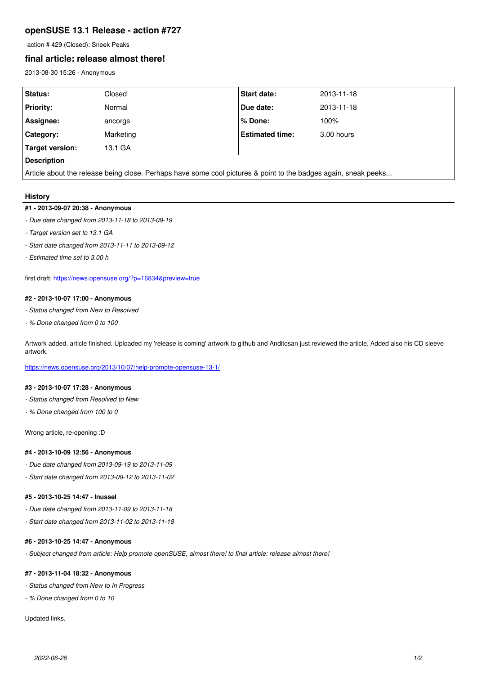# **openSUSE 13.1 Release - action #727**

action # 429 (Closed): Sneek Peaks

# **final article: release almost there!**

2013-08-30 15:26 - Anonymous

| <b>Status:</b>                                                                                                  | Closed    | <b>Start date:</b>     | 2013-11-18 |
|-----------------------------------------------------------------------------------------------------------------|-----------|------------------------|------------|
| <b>Priority:</b>                                                                                                | Normal    | Due date:              | 2013-11-18 |
| Assignee:                                                                                                       |           | ∣% Done:               | 100%       |
|                                                                                                                 | ancorgs   |                        |            |
| <b>Category:</b>                                                                                                | Marketing | <b>Estimated time:</b> | 3.00 hours |
| Target version:                                                                                                 | 13.1 GA   |                        |            |
| <b>Description</b>                                                                                              |           |                        |            |
| Article about the release being close. Perhaps have some cool pictures & point to the badges again, sneak peeks |           |                        |            |

## **History**

# **#1 - 2013-09-07 20:38 - Anonymous**

- *Due date changed from 2013-11-18 to 2013-09-19*
- *Target version set to 13.1 GA*
- *Start date changed from 2013-11-11 to 2013-09-12*
- *Estimated time set to 3.00 h*

first draft: <https://news.opensuse.org/?p=16834&preview=true>

#### **#2 - 2013-10-07 17:00 - Anonymous**

- *Status changed from New to Resolved*
- *% Done changed from 0 to 100*

Artwork added, article finished. Uploaded my 'release is coming' artwork to github and Anditosan just reviewed the article. Added also his CD sleeve artwork.

<https://news.opensuse.org/2013/10/07/help-promote-opensuse-13-1/>

### **#3 - 2013-10-07 17:28 - Anonymous**

- *Status changed from Resolved to New*
- *% Done changed from 100 to 0*

Wrong article, re-opening :D

# **#4 - 2013-10-09 12:56 - Anonymous**

- *Due date changed from 2013-09-19 to 2013-11-09*
- *Start date changed from 2013-09-12 to 2013-11-02*

#### **#5 - 2013-10-25 14:47 - lnussel**

- *Due date changed from 2013-11-09 to 2013-11-18*
- *Start date changed from 2013-11-02 to 2013-11-18*

### **#6 - 2013-10-25 14:47 - Anonymous**

*- Subject changed from article: Help promote openSUSE, almost there! to final article: release almost there!*

#### **#7 - 2013-11-04 18:32 - Anonymous**

- *Status changed from New to In Progress*
- *% Done changed from 0 to 10*

Updated links.